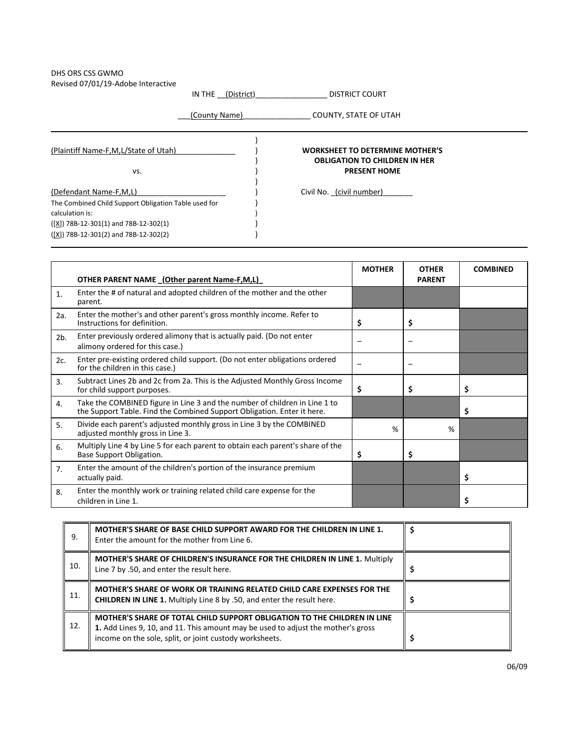## DHS ORS CSS GWMO Revised 07/01/19-Adobe Interactive

IN THE <u>\_\_(District)\_\_\_\_\_\_\_\_</u>\_\_\_\_\_\_\_\_\_\_\_\_\_\_ DISTRICT COURT

\_\_\_(County Name)\_\_\_\_\_\_\_\_\_\_\_\_\_\_\_\_ COUNTY, STATE OF UTAH

| (Plaintiff Name-F,M,L/State of Utah)                 | <b>WORKSHEET TO DETERMINE MOTHER'S</b><br><b>OBLIGATION TO CHILDREN IN HER</b> |  |
|------------------------------------------------------|--------------------------------------------------------------------------------|--|
| VS.                                                  | <b>PRESENT HOME</b>                                                            |  |
| (Defendant Name-F,M,L)                               | Civil No. (civil number)                                                       |  |
| The Combined Child Support Obligation Table used for |                                                                                |  |
| calculation is:                                      |                                                                                |  |
| $([X])$ 78B-12-301(1) and 78B-12-302(1)              |                                                                                |  |
| $([X])$ 78B-12-301(2) and 78B-12-302(2)              |                                                                                |  |

|     | OTHER PARENT NAME (Other parent Name-F,M,L)                                                                                                           | <b>MOTHER</b> | <b>OTHER</b><br><b>PARENT</b> | <b>COMBINED</b> |
|-----|-------------------------------------------------------------------------------------------------------------------------------------------------------|---------------|-------------------------------|-----------------|
| 1.  | Enter the # of natural and adopted children of the mother and the other<br>parent.                                                                    |               |                               |                 |
| 2a. | Enter the mother's and other parent's gross monthly income. Refer to<br>Instructions for definition.                                                  | \$            | \$                            |                 |
| 2b. | Enter previously ordered alimony that is actually paid. (Do not enter<br>alimony ordered for this case.)                                              |               |                               |                 |
| 2c. | Enter pre-existing ordered child support. (Do not enter obligations ordered<br>for the children in this case.)                                        |               | —                             |                 |
| 3.  | Subtract Lines 2b and 2c from 2a. This is the Adjusted Monthly Gross Income<br>for child support purposes.                                            | \$            | \$                            | \$              |
| 4.  | Take the COMBINED figure in Line 3 and the number of children in Line 1 to<br>the Support Table. Find the Combined Support Obligation. Enter it here. |               |                               | \$              |
| 5.  | Divide each parent's adjusted monthly gross in Line 3 by the COMBINED<br>adjusted monthly gross in Line 3.                                            | %             | %                             |                 |
| 6.  | Multiply Line 4 by Line 5 for each parent to obtain each parent's share of the<br>Base Support Obligation.                                            | \$            | \$                            |                 |
| 7.  | Enter the amount of the children's portion of the insurance premium<br>actually paid.                                                                 |               |                               | \$              |
| 8.  | Enter the monthly work or training related child care expense for the<br>children in Line 1.                                                          |               |                               | \$              |

| 9.  | MOTHER'S SHARE OF BASE CHILD SUPPORT AWARD FOR THE CHILDREN IN LINE 1.<br>Enter the amount for the mother from Line 6.                                                                                                  |  |
|-----|-------------------------------------------------------------------------------------------------------------------------------------------------------------------------------------------------------------------------|--|
| 10. | <b>MOTHER'S SHARE OF CHILDREN'S INSURANCE FOR THE CHILDREN IN LINE 1. Multiply</b><br>Line 7 by .50, and enter the result here.                                                                                         |  |
| 11. | MOTHER'S SHARE OF WORK OR TRAINING RELATED CHILD CARE EXPENSES FOR THE<br><b>CHILDREN IN LINE 1.</b> Multiply Line 8 by .50, and enter the result here.                                                                 |  |
| 12. | MOTHER'S SHARE OF TOTAL CHILD SUPPORT OBLIGATION TO THE CHILDREN IN LINE<br>1. Add Lines 9, 10, and 11. This amount may be used to adjust the mother's gross<br>income on the sole, split, or joint custody worksheets. |  |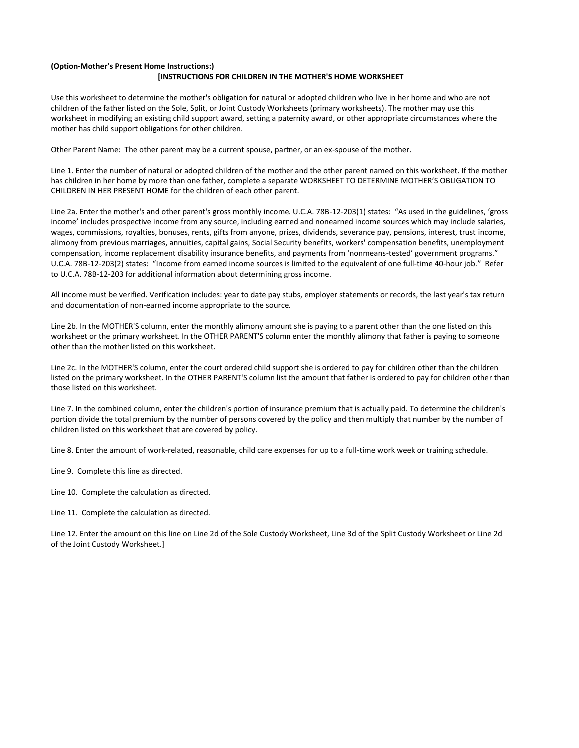## **(Option-Mother's Present Home Instructions:) [INSTRUCTIONS FOR CHILDREN IN THE MOTHER'S HOME WORKSHEET**

Use this worksheet to determine the mother's obligation for natural or adopted children who live in her home and who are not children of the father listed on the Sole, Split, or Joint Custody Worksheets (primary worksheets). The mother may use this worksheet in modifying an existing child support award, setting a paternity award, or other appropriate circumstances where the mother has child support obligations for other children.

Other Parent Name: The other parent may be a current spouse, partner, or an ex-spouse of the mother.

Line 1. Enter the number of natural or adopted children of the mother and the other parent named on this worksheet. If the mother has children in her home by more than one father, complete a separate WORKSHEET TO DETERMINE MOTHER'S OBLIGATION TO CHILDREN IN HER PRESENT HOME for the children of each other parent.

Line 2a. Enter the mother's and other parent's gross monthly income. U.C.A. 78B-12-203(1) states: "As used in the guidelines, 'gross income' includes prospective income from any source, including earned and nonearned income sources which may include salaries, wages, commissions, royalties, bonuses, rents, gifts from anyone, prizes, dividends, severance pay, pensions, interest, trust income, alimony from previous marriages, annuities, capital gains, Social Security benefits, workers' compensation benefits, unemployment compensation, income replacement disability insurance benefits, and payments from 'nonmeans-tested' government programs." U.C.A. 78B-12-203(2) states: "Income from earned income sources is limited to the equivalent of one full-time 40-hour job." Refer to U.C.A. 78B-12-203 for additional information about determining gross income.

All income must be verified. Verification includes: year to date pay stubs, employer statements or records, the last year's tax return and documentation of non-earned income appropriate to the source.

Line 2b. In the MOTHER'S column, enter the monthly alimony amount she is paying to a parent other than the one listed on this worksheet or the primary worksheet. In the OTHER PARENT'S column enter the monthly alimony that father is paying to someone other than the mother listed on this worksheet.

Line 2c. In the MOTHER'S column, enter the court ordered child support she is ordered to pay for children other than the children listed on the primary worksheet. In the OTHER PARENT'S column list the amount that father is ordered to pay for children other than those listed on this worksheet.

Line 7. In the combined column, enter the children's portion of insurance premium that is actually paid. To determine the children's portion divide the total premium by the number of persons covered by the policy and then multiply that number by the number of children listed on this worksheet that are covered by policy.

Line 8. Enter the amount of work-related, reasonable, child care expenses for up to a full-time work week or training schedule.

Line 9. Complete this line as directed.

Line 10. Complete the calculation as directed.

Line 11. Complete the calculation as directed.

Line 12. Enter the amount on this line on Line 2d of the Sole Custody Worksheet, Line 3d of the Split Custody Worksheet or Line 2d of the Joint Custody Worksheet.]